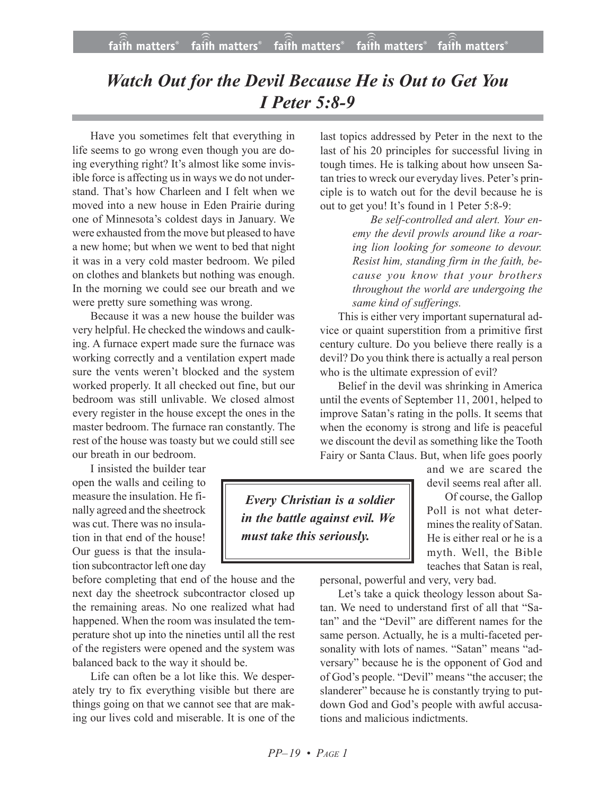## *Watch Out for the Devil Because He is Out to Get You I Peter 5:8-9*

Have you sometimes felt that everything in life seems to go wrong even though you are doing everything right? It's almost like some invisible force is affecting us in ways we do not understand. That's how Charleen and I felt when we moved into a new house in Eden Prairie during one of Minnesota's coldest days in January. We were exhausted from the move but pleased to have a new home; but when we went to bed that night it was in a very cold master bedroom. We piled on clothes and blankets but nothing was enough. In the morning we could see our breath and we were pretty sure something was wrong.

Because it was a new house the builder was very helpful. He checked the windows and caulking. A furnace expert made sure the furnace was working correctly and a ventilation expert made sure the vents weren't blocked and the system worked properly. It all checked out fine, but our bedroom was still unlivable. We closed almost every register in the house except the ones in the master bedroom. The furnace ran constantly. The rest of the house was toasty but we could still see our breath in our bedroom.

I insisted the builder tear open the walls and ceiling to measure the insulation. He finally agreed and the sheetrock was cut. There was no insulation in that end of the house! Our guess is that the insulation subcontractor left one day

before completing that end of the house and the next day the sheetrock subcontractor closed up the remaining areas. No one realized what had happened. When the room was insulated the temperature shot up into the nineties until all the rest of the registers were opened and the system was balanced back to the way it should be.

Life can often be a lot like this. We desperately try to fix everything visible but there are things going on that we cannot see that are making our lives cold and miserable. It is one of the last topics addressed by Peter in the next to the last of his 20 principles for successful living in tough times. He is talking about how unseen Satan tries to wreck our everyday lives. Peter's principle is to watch out for the devil because he is out to get you! It's found in 1 Peter 5:8-9:

> *Be self-controlled and alert. Your enemy the devil prowls around like a roaring lion looking for someone to devour. Resist him, standing firm in the faith, because you know that your brothers throughout the world are undergoing the same kind of sufferings.*

This is either very important supernatural advice or quaint superstition from a primitive first century culture. Do you believe there really is a devil? Do you think there is actually a real person who is the ultimate expression of evil?

Belief in the devil was shrinking in America until the events of September 11, 2001, helped to improve Satan's rating in the polls. It seems that when the economy is strong and life is peaceful we discount the devil as something like the Tooth Fairy or Santa Claus. But, when life goes poorly

 *Every Christian is a soldier in the battle against evil. We must take this seriously.*

and we are scared the devil seems real after all.

Of course, the Gallop Poll is not what determines the reality of Satan. He is either real or he is a myth. Well, the Bible teaches that Satan is real,

personal, powerful and very, very bad.

Let's take a quick theology lesson about Satan. We need to understand first of all that "Satan" and the "Devil" are different names for the same person. Actually, he is a multi-faceted personality with lots of names. "Satan" means "adversary" because he is the opponent of God and of God's people. "Devil" means "the accuser; the slanderer" because he is constantly trying to putdown God and God's people with awful accusations and malicious indictments.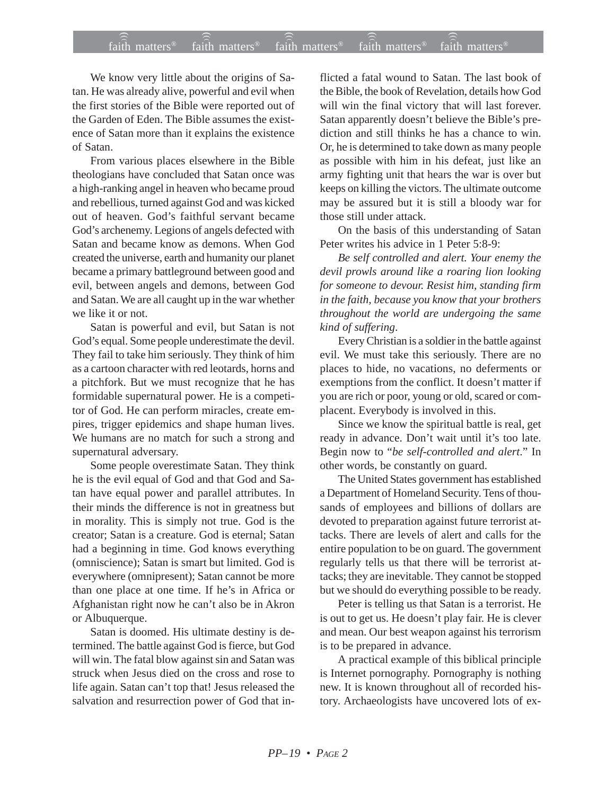## $f$ aith matters® staith matters® staith matters® staith matters® staith matters® faith matters<sup>®</sup> faith matters<sup>®</sup>  $\widehat{a}$ ) faith matters<sup>®</sup>

We know very little about the origins of Satan. He was already alive, powerful and evil when the first stories of the Bible were reported out of the Garden of Eden. The Bible assumes the existence of Satan more than it explains the existence of Satan.

From various places elsewhere in the Bible theologians have concluded that Satan once was a high-ranking angel in heaven who became proud and rebellious, turned against God and was kicked out of heaven. God's faithful servant became God's archenemy. Legions of angels defected with Satan and became know as demons. When God created the universe, earth and humanity our planet became a primary battleground between good and evil, between angels and demons, between God and Satan. We are all caught up in the war whether we like it or not.

Satan is powerful and evil, but Satan is not God's equal. Some people underestimate the devil. They fail to take him seriously. They think of him as a cartoon character with red leotards, horns and a pitchfork. But we must recognize that he has formidable supernatural power. He is a competitor of God. He can perform miracles, create empires, trigger epidemics and shape human lives. We humans are no match for such a strong and supernatural adversary.

Some people overestimate Satan. They think he is the evil equal of God and that God and Satan have equal power and parallel attributes. In their minds the difference is not in greatness but in morality. This is simply not true. God is the creator; Satan is a creature. God is eternal; Satan had a beginning in time. God knows everything (omniscience); Satan is smart but limited. God is everywhere (omnipresent); Satan cannot be more than one place at one time. If he's in Africa or Afghanistan right now he can't also be in Akron or Albuquerque.

Satan is doomed. His ultimate destiny is determined. The battle against God is fierce, but God will win. The fatal blow against sin and Satan was struck when Jesus died on the cross and rose to life again. Satan can't top that! Jesus released the salvation and resurrection power of God that inflicted a fatal wound to Satan. The last book of the Bible, the book of Revelation, details how God will win the final victory that will last forever. Satan apparently doesn't believe the Bible's prediction and still thinks he has a chance to win. Or, he is determined to take down as many people as possible with him in his defeat, just like an army fighting unit that hears the war is over but keeps on killing the victors. The ultimate outcome may be assured but it is still a bloody war for those still under attack.

On the basis of this understanding of Satan Peter writes his advice in 1 Peter 5:8-9:

*Be self controlled and alert. Your enemy the devil prowls around like a roaring lion looking for someone to devour. Resist him, standing firm in the faith, because you know that your brothers throughout the world are undergoing the same kind of suffering*.

Every Christian is a soldier in the battle against evil. We must take this seriously. There are no places to hide, no vacations, no deferments or exemptions from the conflict. It doesn't matter if you are rich or poor, young or old, scared or complacent. Everybody is involved in this.

Since we know the spiritual battle is real, get ready in advance. Don't wait until it's too late. Begin now to "*be self-controlled and alert*." In other words, be constantly on guard.

The United States government has established a Department of Homeland Security. Tens of thousands of employees and billions of dollars are devoted to preparation against future terrorist attacks. There are levels of alert and calls for the entire population to be on guard. The government regularly tells us that there will be terrorist attacks; they are inevitable. They cannot be stopped but we should do everything possible to be ready.

Peter is telling us that Satan is a terrorist. He is out to get us. He doesn't play fair. He is clever and mean. Our best weapon against his terrorism is to be prepared in advance.

A practical example of this biblical principle is Internet pornography. Pornography is nothing new. It is known throughout all of recorded history. Archaeologists have uncovered lots of ex-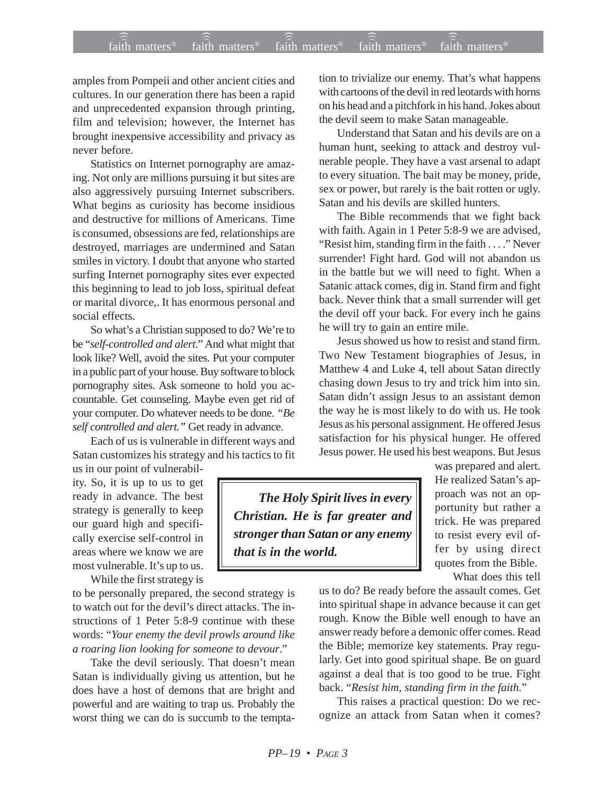## $f$ aith matters® staith matters® staith matters® staith matters® staith matters® faith matters<sup>®</sup> ))) )))

amples from Pompeii and other ancient cities and cultures. In our generation there has been a rapid and unprecedented expansion through printing, film and television; however, the Internet has brought inexpensive accessibility and privacy as never before.

Statistics on Internet pornography are amazing. Not only are millions pursuing it but sites are also aggressively pursuing Internet subscribers. What begins as curiosity has become insidious and destructive for millions of Americans. Time is consumed, obsessions are fed, relationships are destroyed, marriages are undermined and Satan smiles in victory. I doubt that anyone who started surfing Internet pornography sites ever expected this beginning to lead to job loss, spiritual defeat or marital divorce,. It has enormous personal and social effects.

So what's a Christian supposed to do? We're to be "*self-controlled and alert*." And what might that look like? Well, avoid the sites. Put your computer in a public part of your house. Buy software to block pornography sites. Ask someone to hold you accountable. Get counseling. Maybe even get rid of your computer. Do whatever needs to be done. *"Be self controlled and alert."* Get ready in advance.

Each of us is vulnerable in different ways and Satan customizes his strategy and his tactics to fit

us in our point of vulnerability. So, it is up to us to get ready in advance. The best strategy is generally to keep our guard high and specifically exercise self-control in areas where we know we are most vulnerable. It's up to us.

While the first strategy is

to be personally prepared, the second strategy is to watch out for the devil's direct attacks. The instructions of 1 Peter 5:8-9 continue with these words: "*Your enemy the devil prowls around like a roaring lion looking for someone to devour*."

Take the devil seriously. That doesn't mean Satan is individually giving us attention, but he does have a host of demons that are bright and powerful and are waiting to trap us. Probably the worst thing we can do is succumb to the temptation to trivialize our enemy. That's what happens with cartoons of the devil in red leotards with horns on his head and a pitchfork in his hand. Jokes about the devil seem to make Satan manageable.

Understand that Satan and his devils are on a human hunt, seeking to attack and destroy vulnerable people. They have a vast arsenal to adapt to every situation. The bait may be money, pride, sex or power, but rarely is the bait rotten or ugly. Satan and his devils are skilled hunters.

The Bible recommends that we fight back with faith. Again in 1 Peter 5:8-9 we are advised, "Resist him, standing firm in the faith . . . ." Never surrender! Fight hard. God will not abandon us in the battle but we will need to fight. When a Satanic attack comes, dig in. Stand firm and fight back. Never think that a small surrender will get the devil off your back. For every inch he gains he will try to gain an entire mile.

Jesus showed us how to resist and stand firm. Two New Testament biographies of Jesus, in Matthew 4 and Luke 4, tell about Satan directly chasing down Jesus to try and trick him into sin. Satan didn't assign Jesus to an assistant demon the way he is most likely to do with us. He took Jesus as his personal assignment. He offered Jesus satisfaction for his physical hunger. He offered Jesus power. He used his best weapons. But Jesus

*The Holy Spirit lives in every Christian. He is far greater and stronger than Satan or any enemy that is in the world.*

was prepared and alert. He realized Satan's approach was not an opportunity but rather a trick. He was prepared to resist every evil offer by using direct quotes from the Bible.

What does this tell

us to do? Be ready before the assault comes. Get into spiritual shape in advance because it can get rough. Know the Bible well enough to have an answer ready before a demonic offer comes. Read the Bible; memorize key statements. Pray regularly. Get into good spiritual shape. Be on guard against a deal that is too good to be true. Fight back. "*Resist him, standing firm in the faith.*"

This raises a practical question: Do we recognize an attack from Satan when it comes?